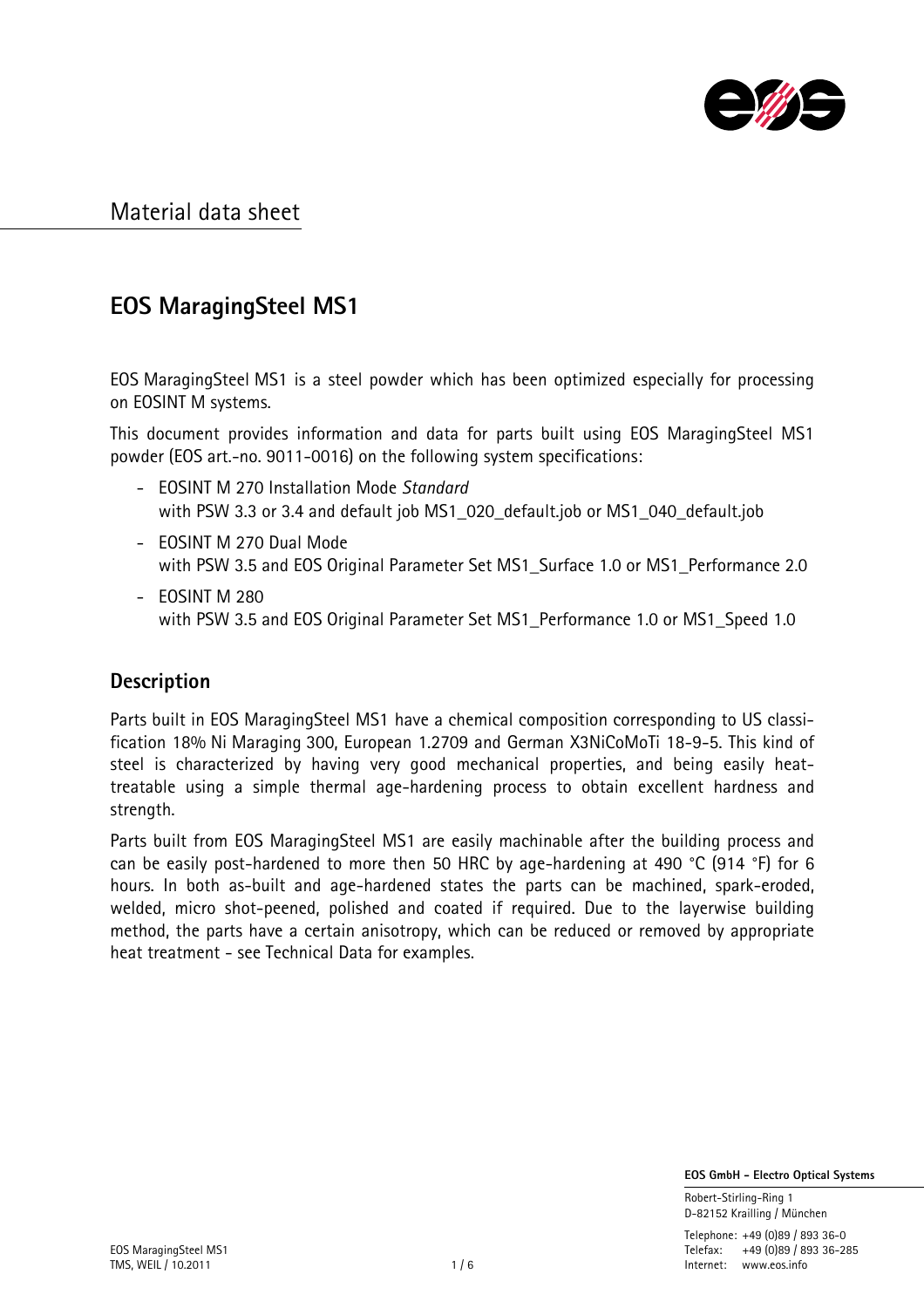

# **EOS MaragingSteel MS1**

EOS MaragingSteel MS1 is a steel powder which has been optimized especially for processing on EOSINT M systems.

This document provides information and data for parts built using EOS MaragingSteel MS1 powder (EOS art.-no. 9011-0016) on the following system specifications:

- EOSINT M 270 Installation Mode *Standard* with PSW 3.3 or 3.4 and default job MS1\_020\_default.job or MS1\_040\_default.job
- EOSINT M 270 Dual Mode with PSW 3.5 and EOS Original Parameter Set MS1\_Surface 1.0 or MS1\_Performance 2.0
- EOSINT M 280 with PSW 3.5 and EOS Original Parameter Set MS1\_Performance 1.0 or MS1\_Speed 1.0

### **Description**

Parts built in EOS MaragingSteel MS1 have a chemical composition corresponding to US classification 18% Ni Maraging 300, European 1.2709 and German X3NiCoMoTi 18-9-5. This kind of steel is characterized by having very good mechanical properties, and being easily heattreatable using a simple thermal age-hardening process to obtain excellent hardness and strength.

Parts built from EOS MaragingSteel MS1 are easily machinable after the building process and can be easily post-hardened to more then 50 HRC by age-hardening at 490 °C (914 °F) for 6 hours. In both as-built and age-hardened states the parts can be machined, spark-eroded, welded, micro shot-peened, polished and coated if required. Due to the layerwise building method, the parts have a certain anisotropy, which can be reduced or removed by appropriate heat treatment - see Technical Data for examples.

 **EOS GmbH - Electro Optical Systems**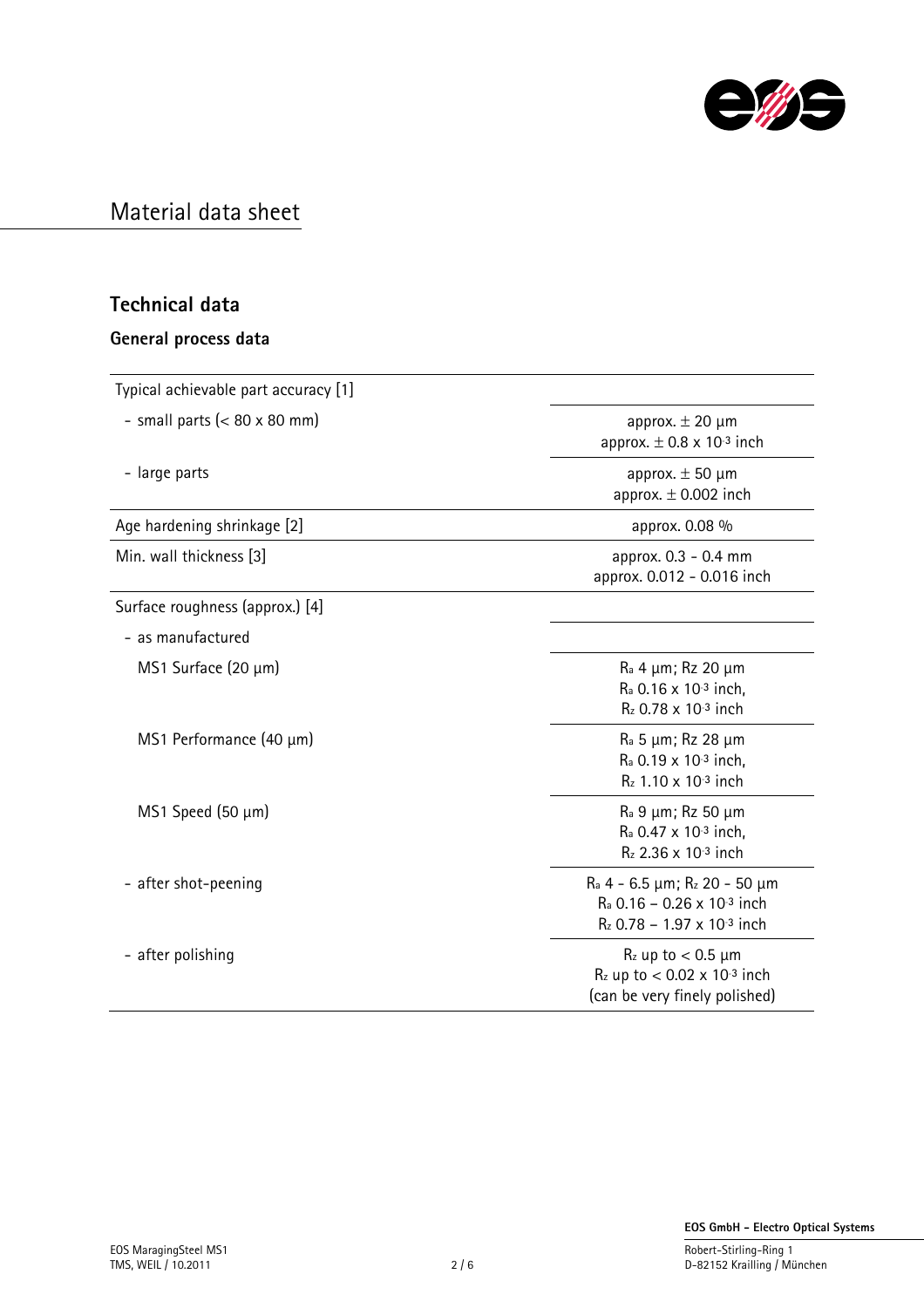

### **Technical data**

| General process data                 |                                                                                                               |  |
|--------------------------------------|---------------------------------------------------------------------------------------------------------------|--|
| Typical achievable part accuracy [1] |                                                                                                               |  |
| - small parts $(< 80 \times 80$ mm)  | approx. $\pm$ 20 $\mu$ m<br>approx. $\pm$ 0.8 x 10 <sup>-3</sup> inch                                         |  |
| - large parts                        | approx. $\pm$ 50 $\mu$ m<br>approx. $\pm$ 0.002 inch                                                          |  |
| Age hardening shrinkage [2]          | approx. 0.08 %                                                                                                |  |
| Min. wall thickness [3]              | approx. 0.3 - 0.4 mm<br>approx. 0.012 - 0.016 inch                                                            |  |
| Surface roughness (approx.) [4]      |                                                                                                               |  |
| - as manufactured                    |                                                                                                               |  |
| MS1 Surface $(20 \mu m)$             | R <sub>a</sub> 4 μm; Rz 20 μm<br>R <sub>a</sub> 0.16 x 10-3 inch,<br>$R_z$ 0.78 x 10-3 inch                   |  |
| MS1 Performance (40 µm)              | $Ra$ 5 $\mu$ m; Rz 28 $\mu$ m<br>R <sub>a</sub> 0.19 x 10-3 inch,<br>$R_z$ 1.10 x 10-3 inch                   |  |
| $MS1$ Speed (50 $\mu$ m)             | $Ra$ 9 $\mu$ m; Rz 50 $\mu$ m<br>R <sub>a</sub> 0.47 x 10-3 inch,<br>$R_z$ 2.36 x 10-3 inch                   |  |
| - after shot-peening                 | $Ra$ 4 - 6.5 $\mu$ m; $R_z$ 20 - 50 $\mu$ m<br>$R_a$ 0.16 - 0.26 x 10-3 inch<br>$R_z$ 0.78 - 1.97 x 10-3 inch |  |
| - after polishing                    | $R_z$ up to $< 0.5$ µm<br>$R_z$ up to < 0.02 x 10-3 inch                                                      |  |

D-82152 Krailling / München

(can be very finely polished)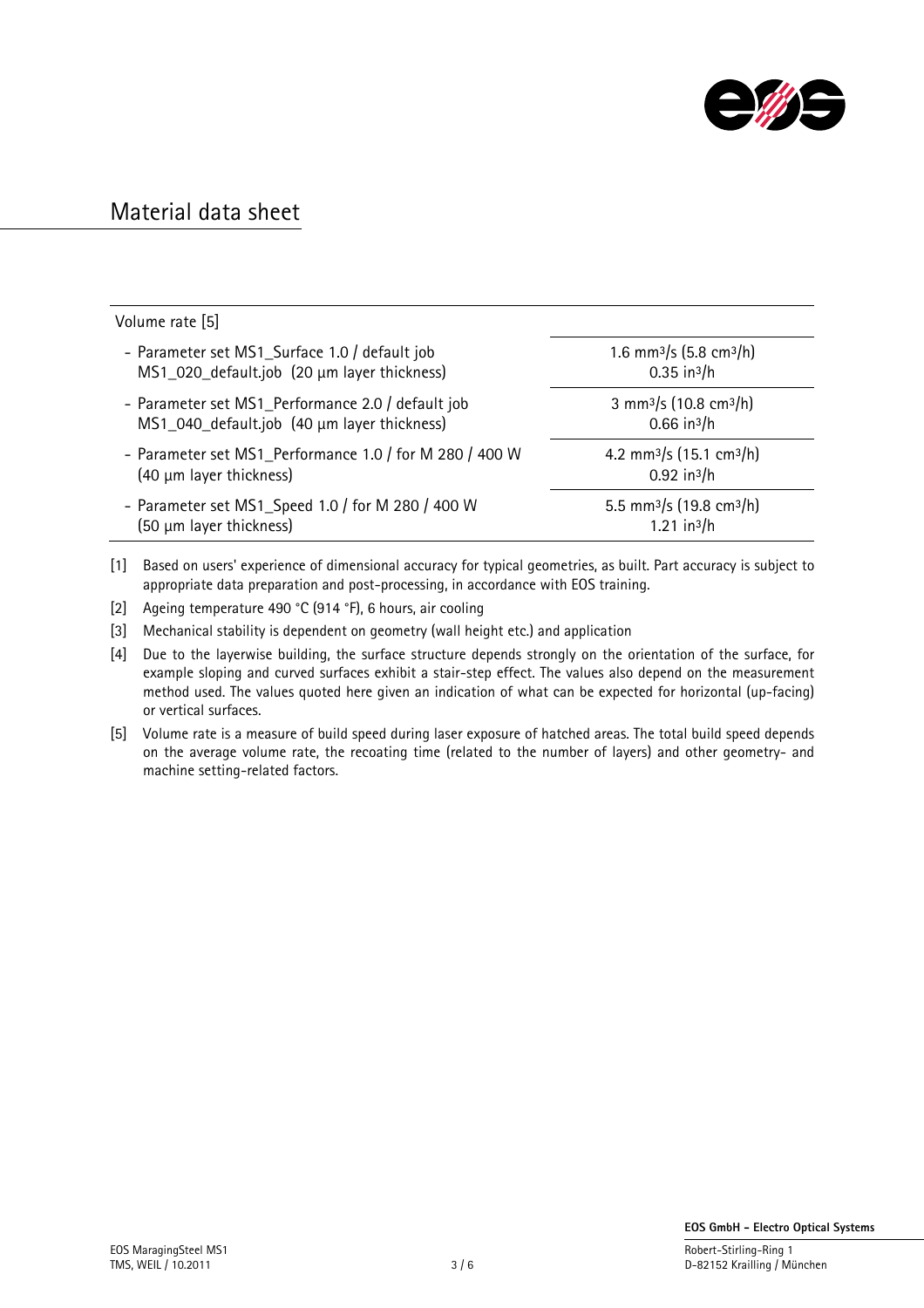

| Volume rate [5]                                         |                                                  |
|---------------------------------------------------------|--------------------------------------------------|
| - Parameter set MS1_Surface 1.0 / default job           | 1.6 mm <sup>3</sup> /s (5.8 cm <sup>3</sup> /h)  |
| MS1_020_default.job (20 µm layer thickness)             | $0.35$ in <sup>3</sup> /h                        |
| - Parameter set MS1_Performance 2.0 / default job       | 3 mm <sup>3</sup> /s (10.8 cm <sup>3</sup> /h)   |
| MS1_040_default.job (40 µm layer thickness)             | $0.66$ in <sup>3</sup> /h                        |
| - Parameter set MS1_Performance 1.0 / for M 280 / 400 W | 4.2 mm <sup>3</sup> /s (15.1 cm <sup>3</sup> /h) |
| (40 µm layer thickness)                                 | $0.92$ in <sup>3</sup> /h                        |
| - Parameter set MS1_Speed 1.0 / for M 280 / 400 W       | 5.5 mm <sup>3</sup> /s (19.8 cm <sup>3</sup> /h) |
| (50 µm layer thickness)                                 | $1.21$ in <sup>3</sup> /h                        |

- [1] Based on users' experience of dimensional accuracy for typical geometries, as built. Part accuracy is subject to appropriate data preparation and post-processing, in accordance with EOS training.
- [2] Ageing temperature 490 °C (914 °F), 6 hours, air cooling
- [3] Mechanical stability is dependent on geometry (wall height etc.) and application
- [4] Due to the layerwise building, the surface structure depends strongly on the orientation of the surface, for example sloping and curved surfaces exhibit a stair-step effect. The values also depend on the measurement method used. The values quoted here given an indication of what can be expected for horizontal (up-facing) or vertical surfaces.
- [5] Volume rate is a measure of build speed during laser exposure of hatched areas. The total build speed depends on the average volume rate, the recoating time (related to the number of layers) and other geometry- and machine setting-related factors.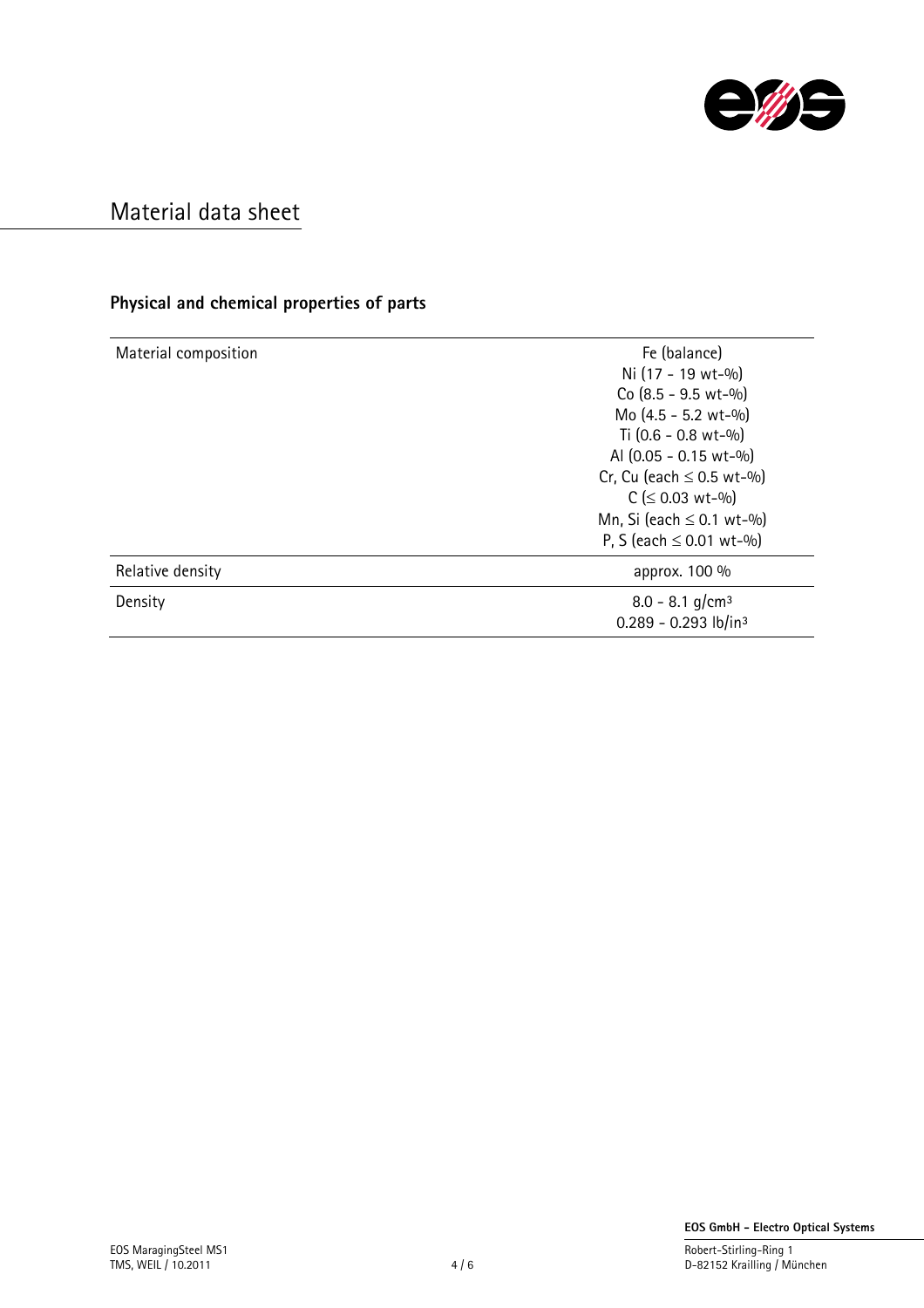

## **Physical and chemical properties of parts**

| Material composition | Fe (balance)                              |
|----------------------|-------------------------------------------|
|                      | Ni (17 - 19 wt-%)                         |
|                      | Co $(8.5 - 9.5 \text{ wt} - \frac{0}{0})$ |
|                      | Mo (4.5 - 5.2 wt-%)                       |
|                      | Ti $(0.6 - 0.8 \text{ wt} - \frac{0}{0})$ |
|                      | Al (0.05 - 0.15 wt-%)                     |
|                      | Cr, Cu (each $\leq$ 0.5 wt-%)             |
|                      | $C$ ( $\leq$ 0.03 wt-%)                   |
|                      | Mn, Si (each $\leq$ 0.1 wt-%)             |
|                      | P, S (each $\leq$ 0.01 wt-%)              |
| Relative density     | approx. 100 %                             |
| Density              | $8.0 - 8.1$ g/cm <sup>3</sup>             |
|                      | $0.289 - 0.293$ lb/in <sup>3</sup>        |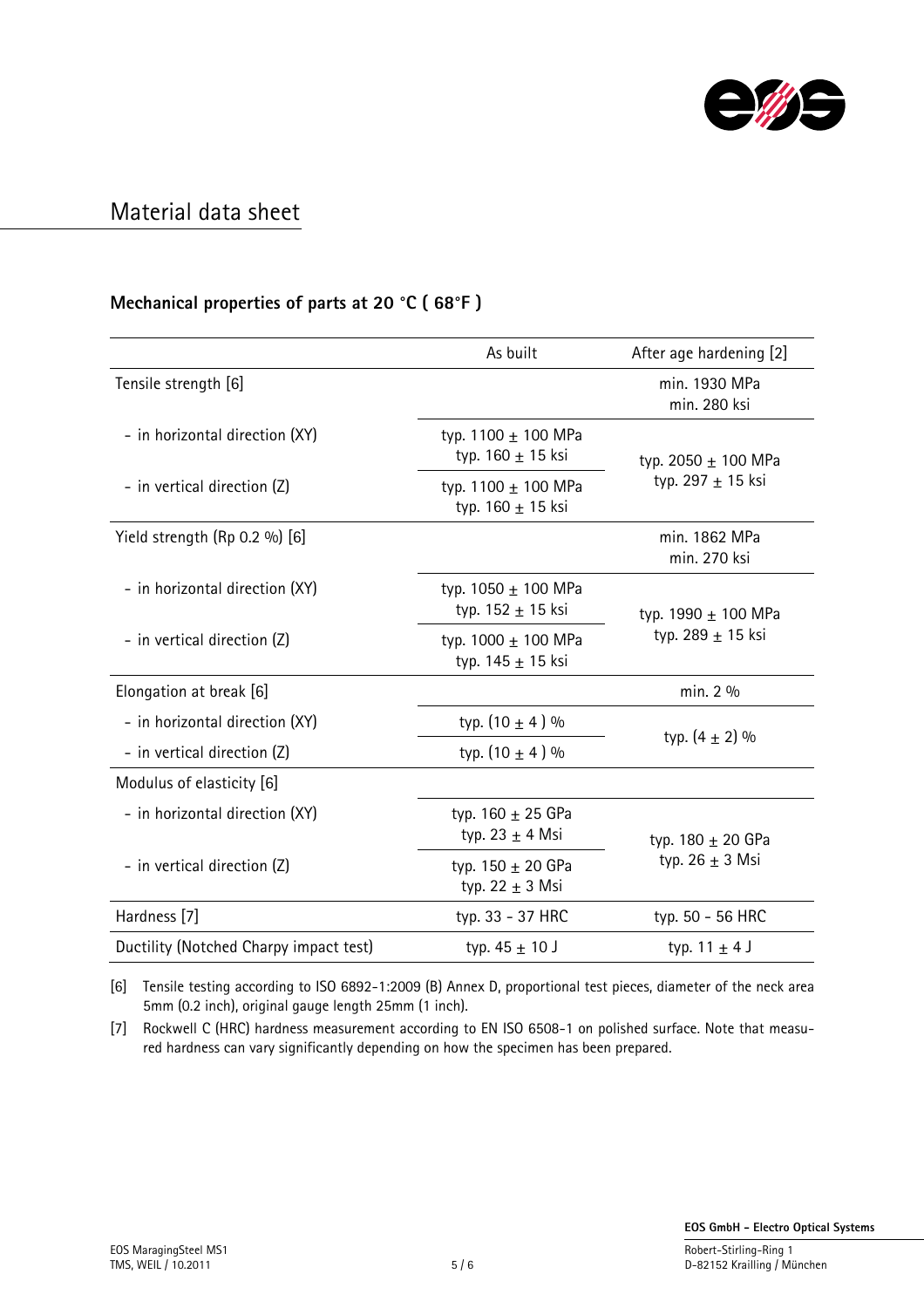

### **Mechanical properties of parts at 20 °C ( 68°F )**

|                                        | As built                                         | After age hardening [2]                          |
|----------------------------------------|--------------------------------------------------|--------------------------------------------------|
| Tensile strength [6]                   |                                                  | min. 1930 MPa<br>min. 280 ksi                    |
| - in horizontal direction (XY)         | typ. 1100 $\pm$ 100 MPa<br>typ. $160 \pm 15$ ksi | typ. 2050 $\pm$ 100 MPa<br>typ. 297 $\pm$ 15 ksi |
| - in vertical direction (Z)            | typ. $1100 + 100$ MPa<br>typ. $160 \pm 15$ ksi   |                                                  |
| Yield strength (Rp 0.2 %) [6]          |                                                  | min. 1862 MPa<br>min. 270 ksi                    |
| - in horizontal direction (XY)         | typ. $1050 \pm 100$ MPa<br>typ. $152 \pm 15$ ksi | typ. 1990 $\pm$ 100 MPa<br>typ. 289 $\pm$ 15 ksi |
| - in vertical direction (Z)            | typ. $1000 + 100$ MPa<br>typ. $145 \pm 15$ ksi   |                                                  |
| Elongation at break [6]                |                                                  | min. 2 %                                         |
| - in horizontal direction (XY)         | typ. $(10 \pm 4)$ %                              | typ. $(4 \pm 2)$ %                               |
| - in vertical direction (Z)            | typ. $(10 \pm 4)$ %                              |                                                  |
| Modulus of elasticity [6]              |                                                  |                                                  |
| - in horizontal direction (XY)         | typ. $160 \pm 25$ GPa<br>typ. 23 $\pm$ 4 Msi     | typ. $180 \pm 20$ GPa<br>typ. 26 $\pm$ 3 Msi     |
| - in vertical direction (Z)            | typ. $150 \pm 20$ GPa<br>typ. 22 $\pm$ 3 Msi     |                                                  |
| Hardness [7]                           | typ. 33 - 37 HRC                                 | typ. 50 - 56 HRC                                 |
| Ductility (Notched Charpy impact test) | typ. $45 \pm 10$ J                               | typ. $11 \pm 4$ J                                |

[6] Tensile testing according to ISO 6892-1:2009 (B) Annex D, proportional test pieces, diameter of the neck area 5mm (0.2 inch), original gauge length 25mm (1 inch).

[7] Rockwell C (HRC) hardness measurement according to EN ISO 6508-1 on polished surface. Note that measured hardness can vary significantly depending on how the specimen has been prepared.